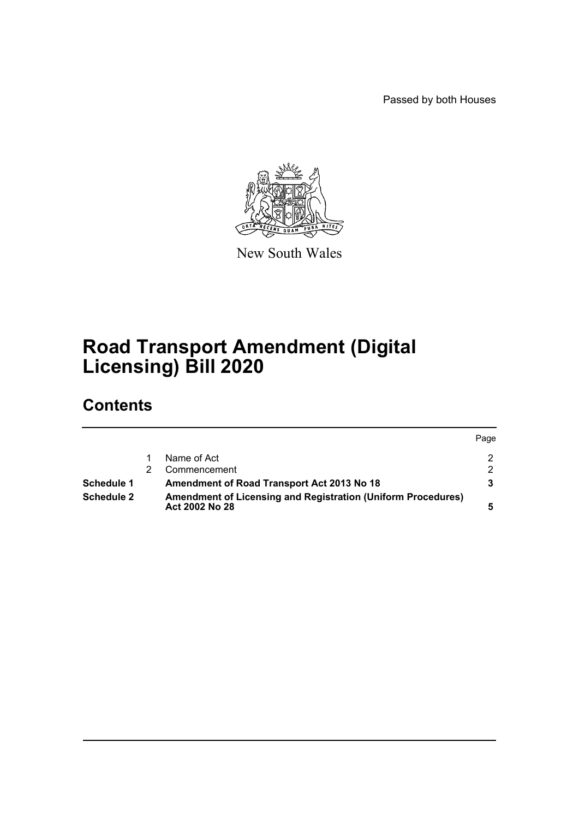Passed by both Houses



New South Wales

# **Road Transport Amendment (Digital Licensing) Bill 2020**

# **Contents**

|            |                                                                                       | Page |
|------------|---------------------------------------------------------------------------------------|------|
|            | Name of Act                                                                           |      |
|            | Commencement                                                                          |      |
| Schedule 1 | Amendment of Road Transport Act 2013 No 18                                            |      |
| Schedule 2 | <b>Amendment of Licensing and Registration (Uniform Procedures)</b><br>Act 2002 No 28 |      |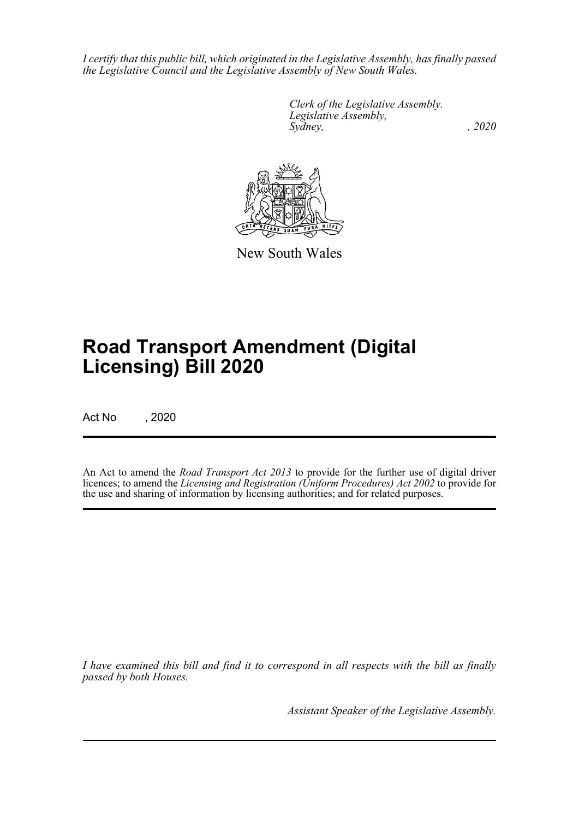*I certify that this public bill, which originated in the Legislative Assembly, has finally passed the Legislative Council and the Legislative Assembly of New South Wales.*

> *Clerk of the Legislative Assembly. Legislative Assembly, Sydney, , 2020*



New South Wales

# **Road Transport Amendment (Digital Licensing) Bill 2020**

Act No , 2020

An Act to amend the *Road Transport Act 2013* to provide for the further use of digital driver licences; to amend the *Licensing and Registration (Uniform Procedures) Act 2002* to provide for the use and sharing of information by licensing authorities; and for related purposes.

*I have examined this bill and find it to correspond in all respects with the bill as finally passed by both Houses.*

*Assistant Speaker of the Legislative Assembly.*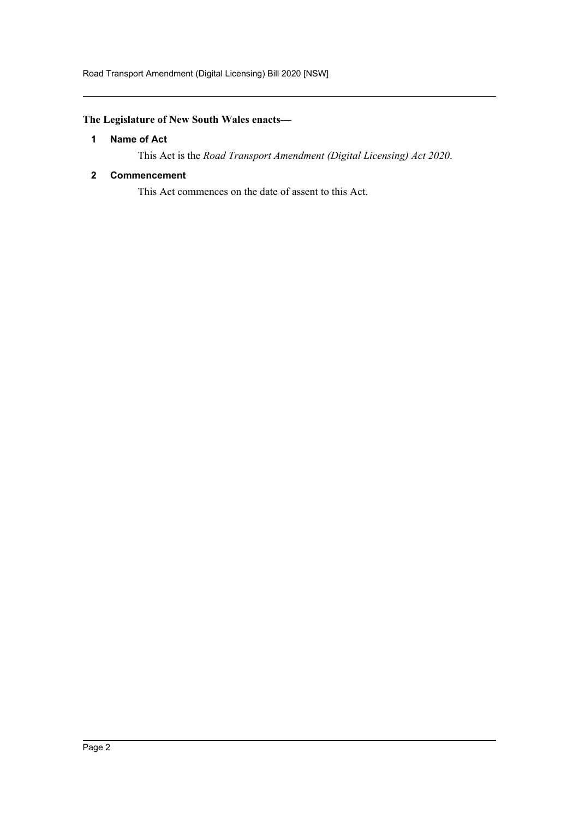Road Transport Amendment (Digital Licensing) Bill 2020 [NSW]

# <span id="page-2-0"></span>**The Legislature of New South Wales enacts—**

# **1 Name of Act**

This Act is the *Road Transport Amendment (Digital Licensing) Act 2020*.

# <span id="page-2-1"></span>**2 Commencement**

This Act commences on the date of assent to this Act.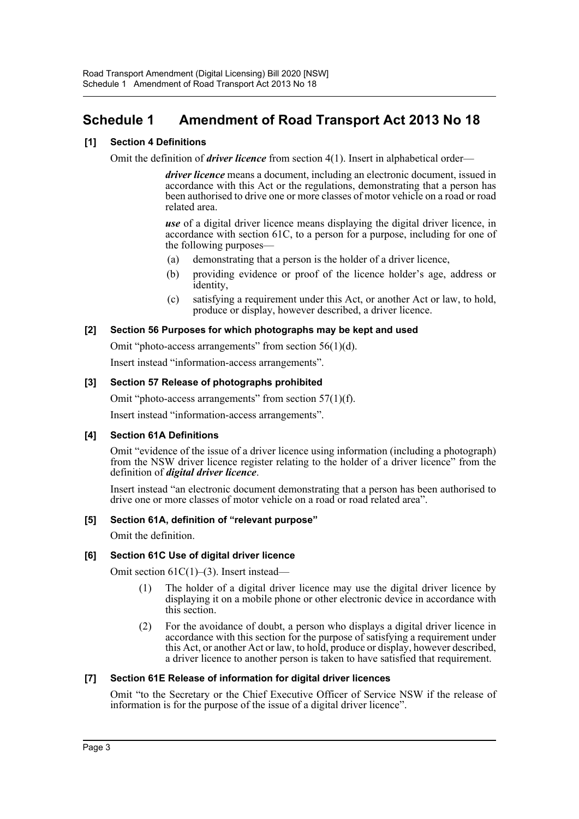# <span id="page-3-0"></span>**Schedule 1 Amendment of Road Transport Act 2013 No 18**

# **[1] Section 4 Definitions**

Omit the definition of *driver licence* from section 4(1). Insert in alphabetical order—

*driver licence* means a document, including an electronic document, issued in accordance with this Act or the regulations, demonstrating that a person has been authorised to drive one or more classes of motor vehicle on a road or road related area.

*use* of a digital driver licence means displaying the digital driver licence, in accordance with section 61C, to a person for a purpose, including for one of the following purposes—

- (a) demonstrating that a person is the holder of a driver licence,
- (b) providing evidence or proof of the licence holder's age, address or identity,
- (c) satisfying a requirement under this Act, or another Act or law, to hold, produce or display, however described, a driver licence.

#### **[2] Section 56 Purposes for which photographs may be kept and used**

Omit "photo-access arrangements" from section 56(1)(d).

Insert instead "information-access arrangements".

# **[3] Section 57 Release of photographs prohibited**

Omit "photo-access arrangements" from section  $57(1)(f)$ .

Insert instead "information-access arrangements".

#### **[4] Section 61A Definitions**

Omit "evidence of the issue of a driver licence using information (including a photograph) from the NSW driver licence register relating to the holder of a driver licence" from the definition of *digital driver licence*.

Insert instead "an electronic document demonstrating that a person has been authorised to drive one or more classes of motor vehicle on a road or road related area".

#### **[5] Section 61A, definition of "relevant purpose"**

Omit the definition.

#### **[6] Section 61C Use of digital driver licence**

Omit section 61C(1)–(3). Insert instead—

- (1) The holder of a digital driver licence may use the digital driver licence by displaying it on a mobile phone or other electronic device in accordance with this section.
- (2) For the avoidance of doubt, a person who displays a digital driver licence in accordance with this section for the purpose of satisfying a requirement under this Act, or another Act or law, to hold, produce or display, however described, a driver licence to another person is taken to have satisfied that requirement.

#### **[7] Section 61E Release of information for digital driver licences**

Omit "to the Secretary or the Chief Executive Officer of Service NSW if the release of information is for the purpose of the issue of a digital driver licence".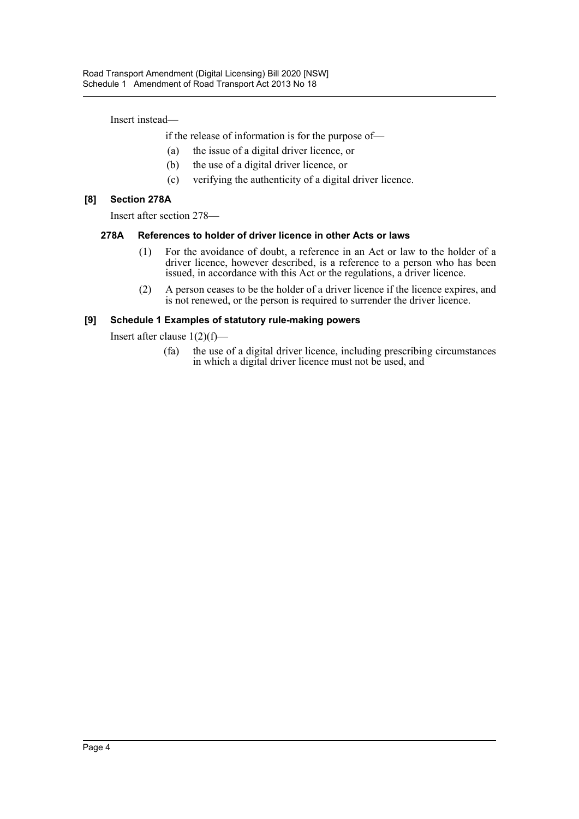Insert instead—

if the release of information is for the purpose of—

- (a) the issue of a digital driver licence, or
- (b) the use of a digital driver licence, or
- (c) verifying the authenticity of a digital driver licence.

# **[8] Section 278A**

Insert after section 278—

# **278A References to holder of driver licence in other Acts or laws**

- (1) For the avoidance of doubt, a reference in an Act or law to the holder of a driver licence, however described, is a reference to a person who has been issued, in accordance with this Act or the regulations, a driver licence.
- (2) A person ceases to be the holder of a driver licence if the licence expires, and is not renewed, or the person is required to surrender the driver licence.

# **[9] Schedule 1 Examples of statutory rule-making powers**

Insert after clause  $1(2)(f)$ —

(fa) the use of a digital driver licence, including prescribing circumstances in which a digital driver licence must not be used, and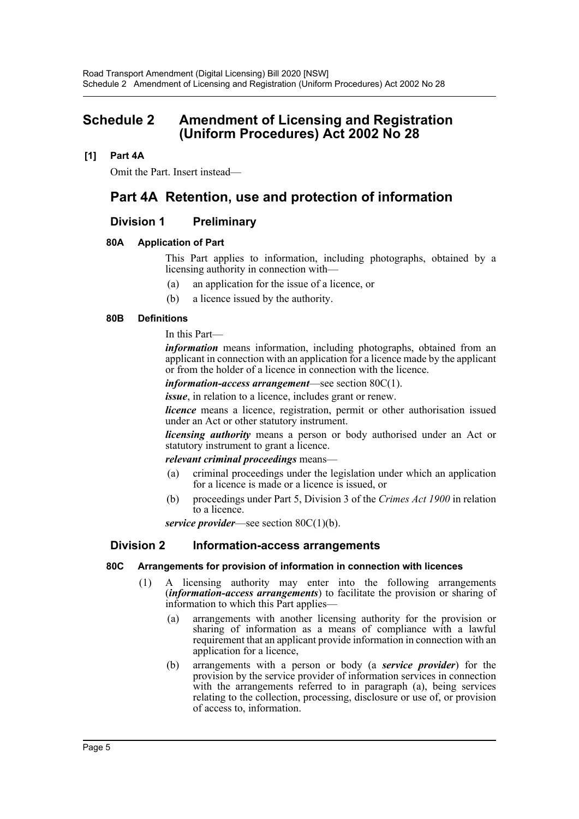# <span id="page-5-0"></span>**Schedule 2 Amendment of Licensing and Registration (Uniform Procedures) Act 2002 No 28**

# **[1] Part 4A**

Omit the Part. Insert instead—

# **Part 4A Retention, use and protection of information**

# **Division 1 Preliminary**

# **80A Application of Part**

This Part applies to information, including photographs, obtained by a licensing authority in connection with—

- (a) an application for the issue of a licence, or
- (b) a licence issued by the authority.

#### **80B Definitions**

In this Part—

*information* means information, including photographs, obtained from an applicant in connection with an application for a licence made by the applicant or from the holder of a licence in connection with the licence.

*information-access arrangement*—see section 80C(1).

*issue*, in relation to a licence, includes grant or renew.

*licence* means a licence, registration, permit or other authorisation issued under an Act or other statutory instrument.

*licensing authority* means a person or body authorised under an Act or statutory instrument to grant a licence.

#### *relevant criminal proceedings* means—

- (a) criminal proceedings under the legislation under which an application for a licence is made or a licence is issued, or
- (b) proceedings under Part 5, Division 3 of the *Crimes Act 1900* in relation to a licence.

*service provider*—see section 80C(1)(b).

#### **Division 2 Information-access arrangements**

#### **80C Arrangements for provision of information in connection with licences**

- (1) A licensing authority may enter into the following arrangements (*information-access arrangements*) to facilitate the provision or sharing of information to which this Part applies—
	- (a) arrangements with another licensing authority for the provision or sharing of information as a means of compliance with a lawful requirement that an applicant provide information in connection with an application for a licence,
	- (b) arrangements with a person or body (a *service provider*) for the provision by the service provider of information services in connection with the arrangements referred to in paragraph (a), being services relating to the collection, processing, disclosure or use of, or provision of access to, information.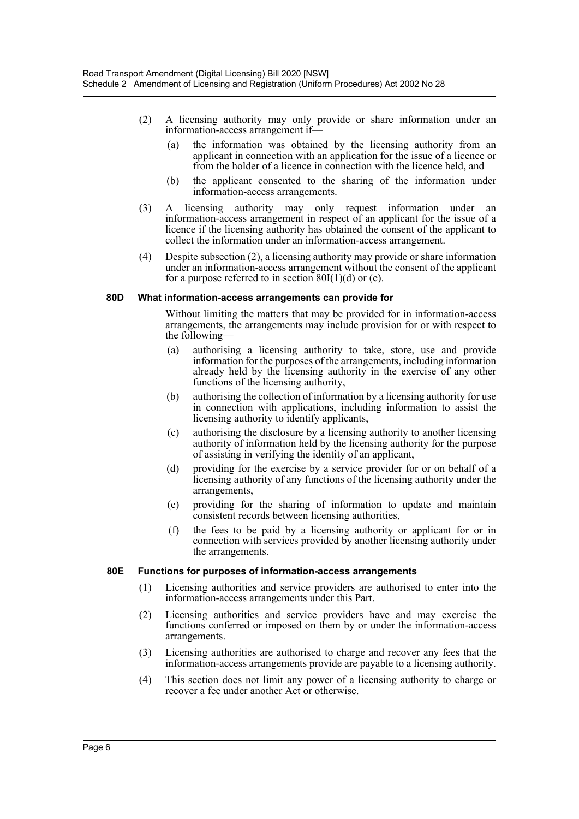- (2) A licensing authority may only provide or share information under an information-access arrangement if—
	- (a) the information was obtained by the licensing authority from an applicant in connection with an application for the issue of a licence or from the holder of a licence in connection with the licence held, and
	- (b) the applicant consented to the sharing of the information under information-access arrangements.
- (3) A licensing authority may only request information under an information-access arrangement in respect of an applicant for the issue of a licence if the licensing authority has obtained the consent of the applicant to collect the information under an information-access arrangement.
- (4) Despite subsection (2), a licensing authority may provide or share information under an information-access arrangement without the consent of the applicant for a purpose referred to in section  $80I(1)(d)$  or (e).

#### **80D What information-access arrangements can provide for**

Without limiting the matters that may be provided for in information-access arrangements, the arrangements may include provision for or with respect to the following—

- (a) authorising a licensing authority to take, store, use and provide information for the purposes of the arrangements, including information already held by the licensing authority in the exercise of any other functions of the licensing authority,
- (b) authorising the collection of information by a licensing authority for use in connection with applications, including information to assist the licensing authority to identify applicants,
- (c) authorising the disclosure by a licensing authority to another licensing authority of information held by the licensing authority for the purpose of assisting in verifying the identity of an applicant,
- (d) providing for the exercise by a service provider for or on behalf of a licensing authority of any functions of the licensing authority under the arrangements,
- (e) providing for the sharing of information to update and maintain consistent records between licensing authorities,
- (f) the fees to be paid by a licensing authority or applicant for or in connection with services provided by another licensing authority under the arrangements.

#### **80E Functions for purposes of information-access arrangements**

- (1) Licensing authorities and service providers are authorised to enter into the information-access arrangements under this Part.
- (2) Licensing authorities and service providers have and may exercise the functions conferred or imposed on them by or under the information-access arrangements.
- (3) Licensing authorities are authorised to charge and recover any fees that the information-access arrangements provide are payable to a licensing authority.
- (4) This section does not limit any power of a licensing authority to charge or recover a fee under another Act or otherwise.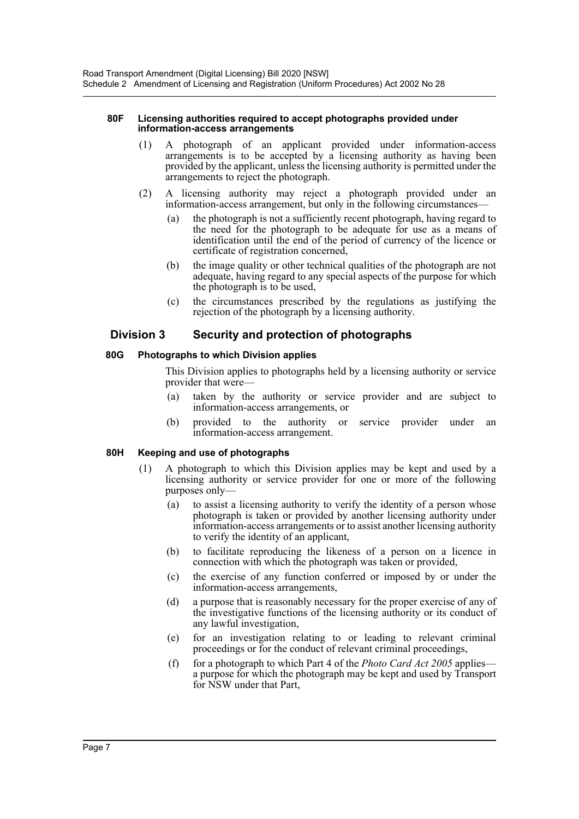#### **80F Licensing authorities required to accept photographs provided under information-access arrangements**

- (1) A photograph of an applicant provided under information-access arrangements is to be accepted by a licensing authority as having been provided by the applicant, unless the licensing authority is permitted under the arrangements to reject the photograph.
- (2) A licensing authority may reject a photograph provided under an information-access arrangement, but only in the following circumstances—
	- (a) the photograph is not a sufficiently recent photograph, having regard to the need for the photograph to be adequate for use as a means of identification until the end of the period of currency of the licence or certificate of registration concerned,
	- (b) the image quality or other technical qualities of the photograph are not adequate, having regard to any special aspects of the purpose for which the photograph is to be used,
	- (c) the circumstances prescribed by the regulations as justifying the rejection of the photograph by a licensing authority.

# **Division 3 Security and protection of photographs**

# **80G Photographs to which Division applies**

This Division applies to photographs held by a licensing authority or service provider that were-

- (a) taken by the authority or service provider and are subject to information-access arrangements, or
- (b) provided to the authority or service provider under an information-access arrangement.

#### **80H Keeping and use of photographs**

- (1) A photograph to which this Division applies may be kept and used by a licensing authority or service provider for one or more of the following purposes only—
	- (a) to assist a licensing authority to verify the identity of a person whose photograph is taken or provided by another licensing authority under information-access arrangements or to assist another licensing authority to verify the identity of an applicant,
	- (b) to facilitate reproducing the likeness of a person on a licence in connection with which the photograph was taken or provided,
	- (c) the exercise of any function conferred or imposed by or under the information-access arrangements,
	- (d) a purpose that is reasonably necessary for the proper exercise of any of the investigative functions of the licensing authority or its conduct of any lawful investigation,
	- (e) for an investigation relating to or leading to relevant criminal proceedings or for the conduct of relevant criminal proceedings,
	- (f) for a photograph to which Part 4 of the *Photo Card Act 2005* applies a purpose for which the photograph may be kept and used by Transport for NSW under that Part,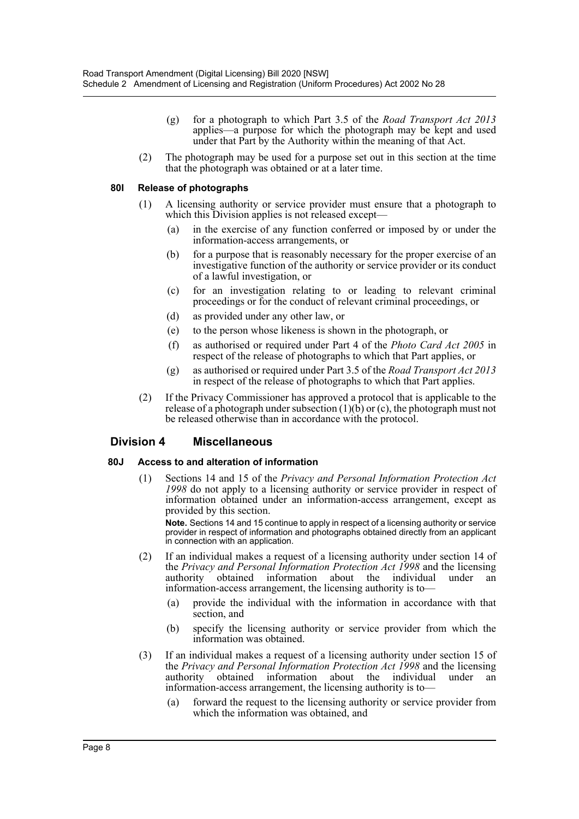- (g) for a photograph to which Part 3.5 of the *Road Transport Act 2013* applies—a purpose for which the photograph may be kept and used under that Part by the Authority within the meaning of that Act.
- (2) The photograph may be used for a purpose set out in this section at the time that the photograph was obtained or at a later time.

#### **80I Release of photographs**

- (1) A licensing authority or service provider must ensure that a photograph to which this Division applies is not released except—
	- (a) in the exercise of any function conferred or imposed by or under the information-access arrangements, or
	- (b) for a purpose that is reasonably necessary for the proper exercise of an investigative function of the authority or service provider or its conduct of a lawful investigation, or
	- (c) for an investigation relating to or leading to relevant criminal proceedings or for the conduct of relevant criminal proceedings, or
	- (d) as provided under any other law, or
	- (e) to the person whose likeness is shown in the photograph, or
	- (f) as authorised or required under Part 4 of the *Photo Card Act 2005* in respect of the release of photographs to which that Part applies, or
	- (g) as authorised or required under Part 3.5 of the *Road Transport Act 2013* in respect of the release of photographs to which that Part applies.
- (2) If the Privacy Commissioner has approved a protocol that is applicable to the release of a photograph under subsection  $(1)(\overline{b})$  or (c), the photograph must not be released otherwise than in accordance with the protocol.

# **Division 4 Miscellaneous**

#### **80J Access to and alteration of information**

(1) Sections 14 and 15 of the *Privacy and Personal Information Protection Act 1998* do not apply to a licensing authority or service provider in respect of information obtained under an information-access arrangement, except as provided by this section.

**Note.** Sections 14 and 15 continue to apply in respect of a licensing authority or service provider in respect of information and photographs obtained directly from an applicant in connection with an application.

- (2) If an individual makes a request of a licensing authority under section 14 of the *Privacy and Personal Information Protection Act 1998* and the licensing authority obtained information about the individual under information-access arrangement, the licensing authority is to—
	- (a) provide the individual with the information in accordance with that section, and
	- (b) specify the licensing authority or service provider from which the information was obtained.
- (3) If an individual makes a request of a licensing authority under section 15 of the *Privacy and Personal Information Protection Act 1998* and the licensing authority obtained information about the individual under an information-access arrangement, the licensing authority is to—
	- (a) forward the request to the licensing authority or service provider from which the information was obtained, and